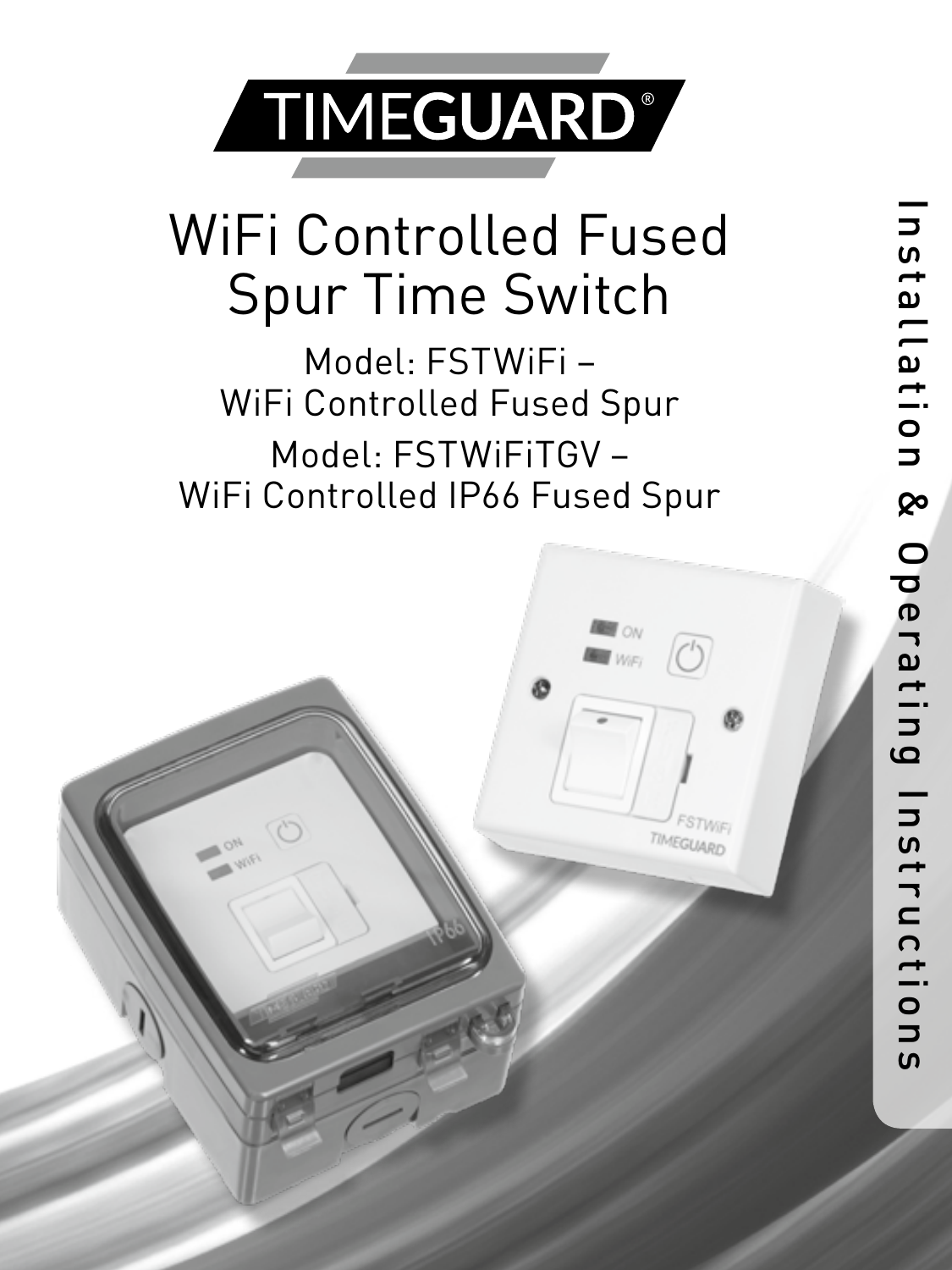

## WiFi Controlled Fused Spur Time Switch

Model: FSTWiFi – WiFi Controlled Fused Spur Model: FSTWiFiTGV – WiFi Controlled IP66 Fused Spur

Ø

TIMEGLIA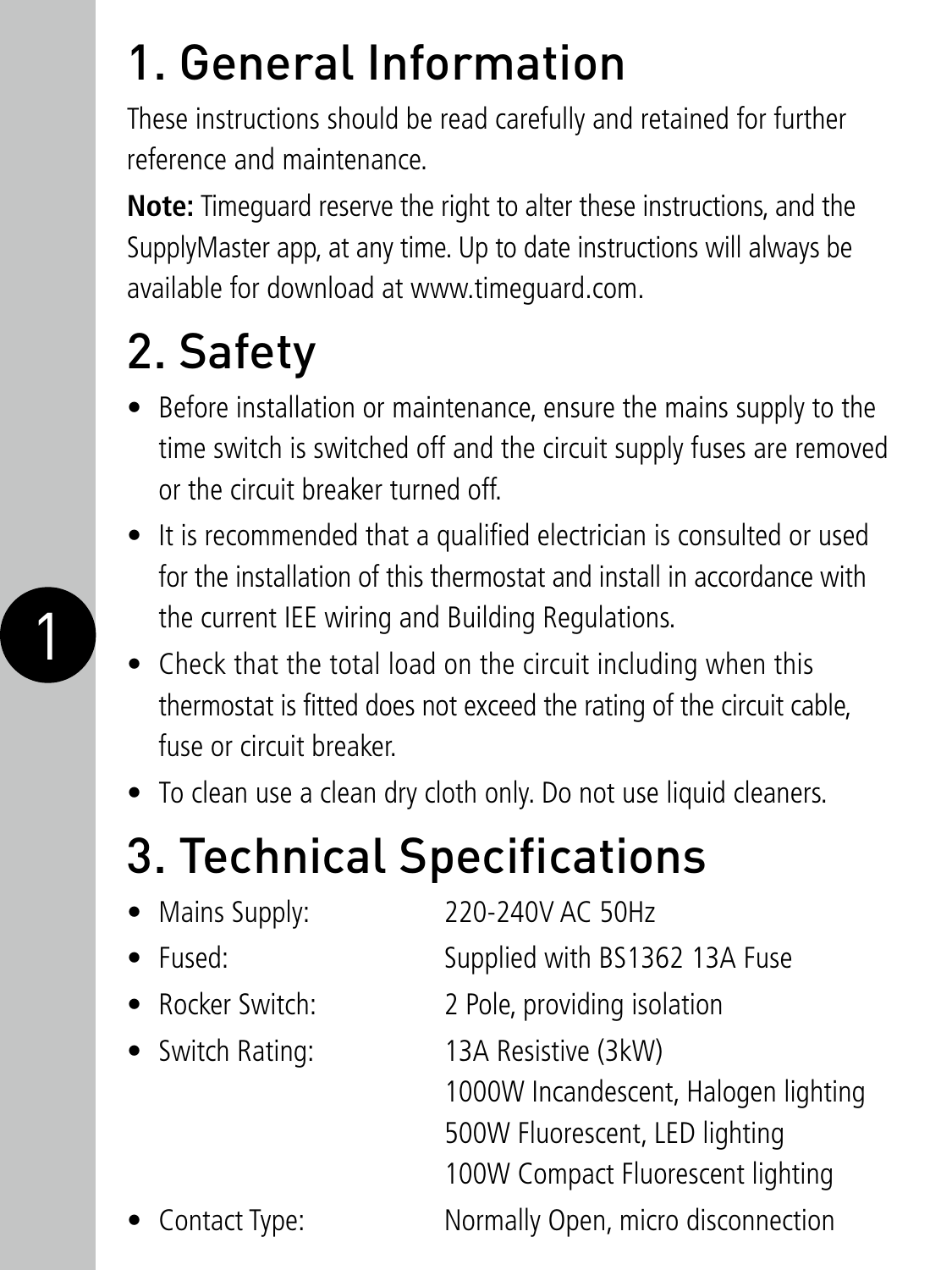## 1. General Information

These instructions should be read carefully and retained for further reference and maintenance.

**Note:** Timeguard reserve the right to alter these instructions, and the SupplyMaster app, at any time. Up to date instructions will always be available for download at www.timeguard.com.

## 2. Safety

- Before installation or maintenance, ensure the mains supply to the time switch is switched off and the circuit supply fuses are removed or the circuit breaker turned off.
- It is recommended that a qualified electrician is consulted or used for the installation of this thermostat and install in accordance with the current IEE wiring and Building Regulations.
- Check that the total load on the circuit including when this thermostat is fitted does not exceed the rating of the circuit cable, fuse or circuit breaker.
- To clean use a clean dry cloth only. Do not use liquid cleaners.

## 3. Technical Specifications

| • Mains Supply:  | 220-240V AC 50Hz                     |
|------------------|--------------------------------------|
| • Fused:         | Supplied with BS1362 13A Fuse        |
| • Rocker Switch: | 2 Pole, providing isolation          |
| • Switch Rating: | 13A Resistive (3kW)                  |
|                  | 1000W Incandescent, Halogen lighting |
|                  | 500W Fluorescent, LED lighting       |
|                  | 100W Compact Fluorescent lighting    |
| • Contact Type:  | Normally Open, micro disconnection   |

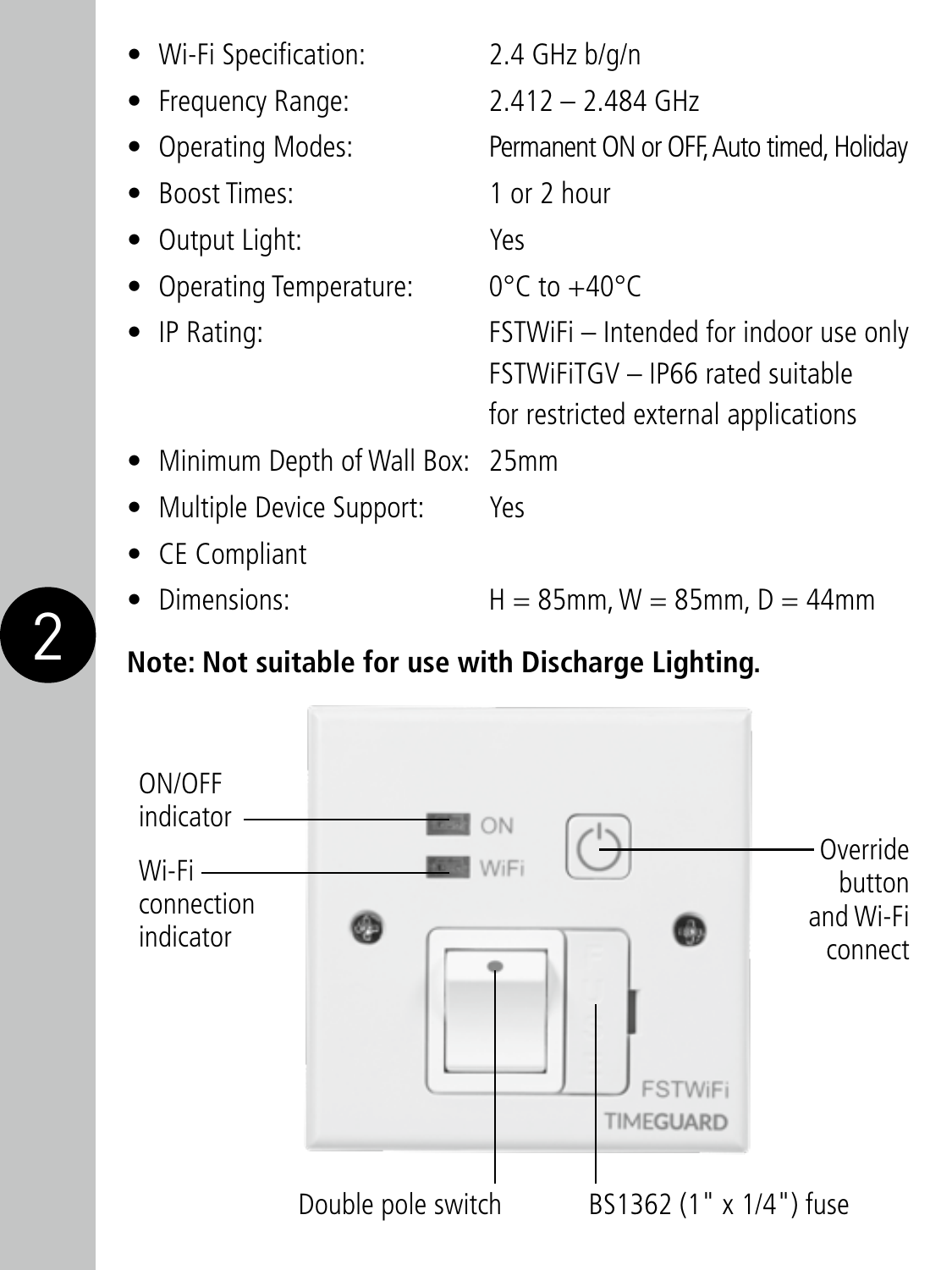| • Wi-Fi Specification:            | $2.4$ GHz $b/q/n$                                                                                                         |
|-----------------------------------|---------------------------------------------------------------------------------------------------------------------------|
| • Frequency Range:                | $2.412 - 2.484$ GHz                                                                                                       |
| • Operating Modes:                | Permanent ON or OFF, Auto timed, Holiday                                                                                  |
| • Boost Times:                    | 1 or 2 hour                                                                                                               |
| • Output Light:                   | Yes                                                                                                                       |
| • Operating Temperature:          | $0^{\circ}$ C to $+40^{\circ}$ C                                                                                          |
| $\bullet$ IP Rating:              | FSTWiFi – Intended for indoor use only<br><b>FSTWIFITGV - IP66 rated suitable</b><br>for restricted external applications |
| • Minimum Depth of Wall Box: 25mm |                                                                                                                           |
| • Multiple Device Support:        | Yes                                                                                                                       |
| • CE Compliant                    |                                                                                                                           |
| Dimensions:                       | $H = 85$ mm, W = 85mm, D = 44mm                                                                                           |

#### **Note: Not suitable for use with Discharge Lighting.**

2

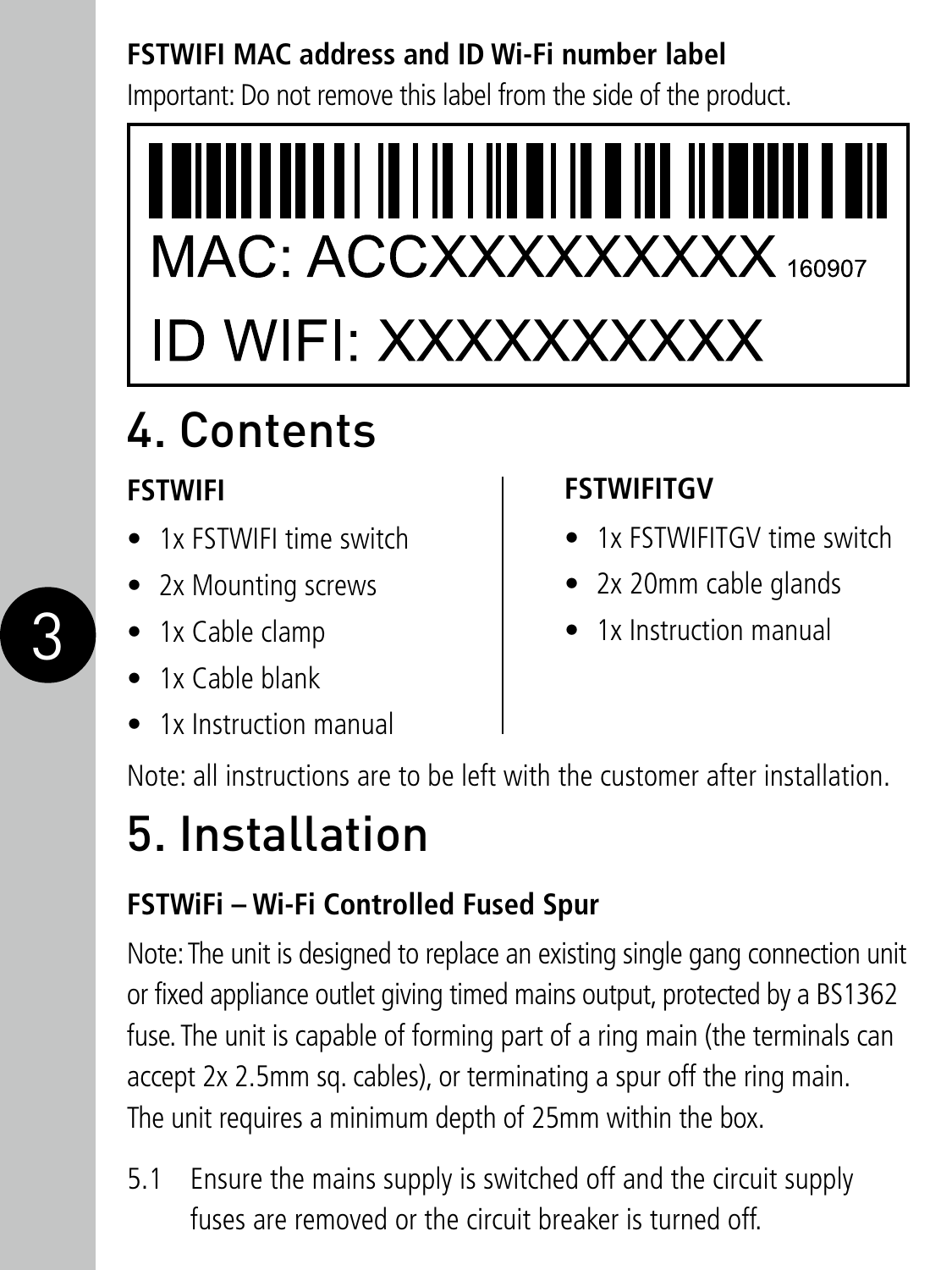#### **FSTWIFI MAC address and ID Wi-Fi number label**

Important: Do not remove this label from the side of the product.



## 4. Contents

#### **FSTWIFI**

- 1x FSTWIFI time switch
- 2x Mounting screws
- 1x Cable clamp
- 1x Cable blank
- 1x Instruction manual

#### **FSTWIFITGV**

- 1x FSTWIFITGV time switch
- 2x 20mm cable glands
- 1x Instruction manual

Note: all instructions are to be left with the customer after installation.

### 5. Installation

#### **FSTWiFi – Wi-Fi Controlled Fused Spur**

Note: The unit is designed to replace an existing single gang connection unit or fixed appliance outlet giving timed mains output, protected by a BS1362 fuse. The unit is capable of forming part of a ring main (the terminals can accept 2x 2.5mm sq. cables), or terminating a spur off the ring main. The unit requires a minimum depth of 25mm within the box.

5.1 Ensure the mains supply is switched off and the circuit supply fuses are removed or the circuit breaker is turned off.

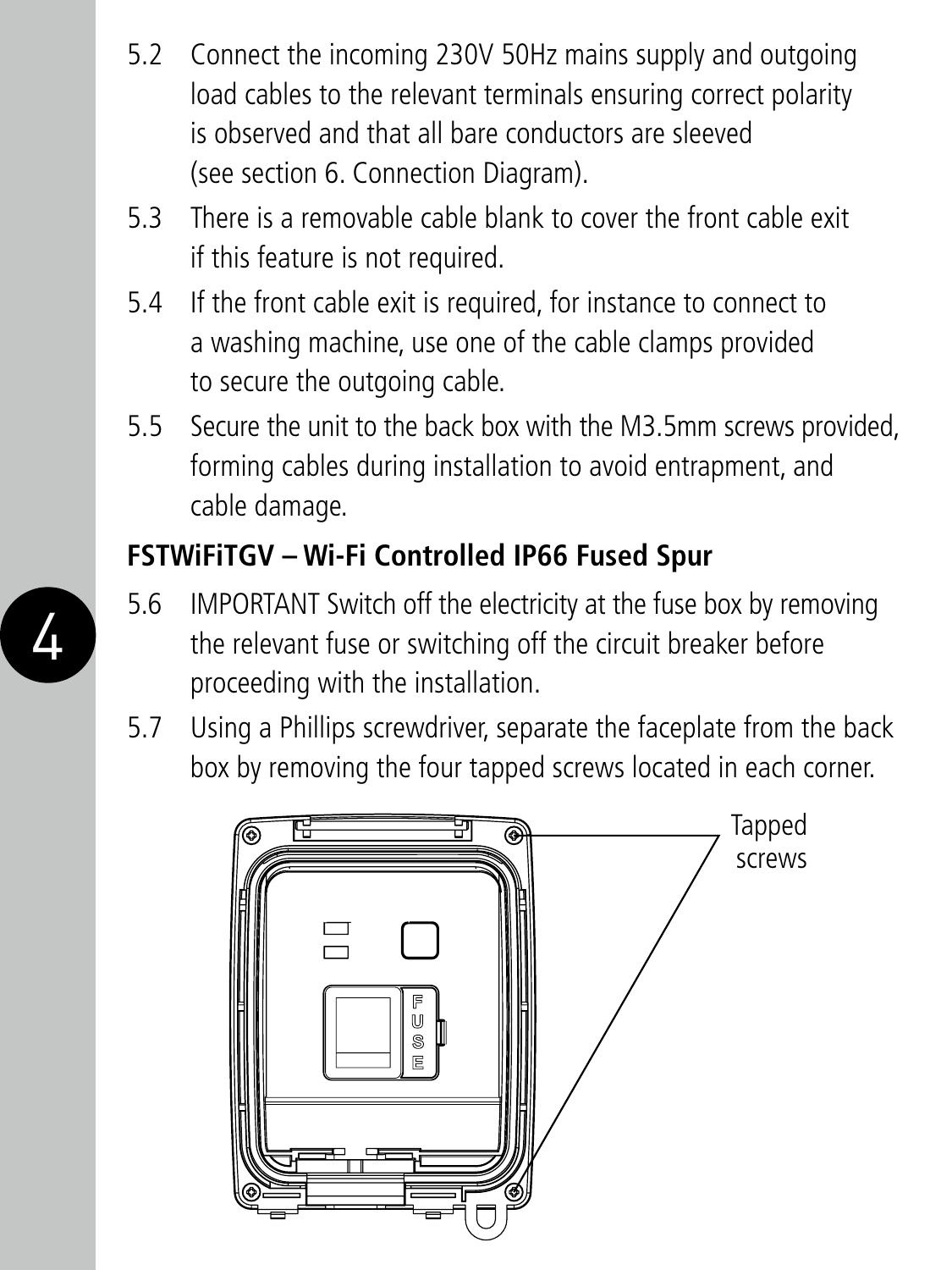- 5.2 Connect the incoming 230V 50Hz mains supply and outgoing load cables to the relevant terminals ensuring correct polarity is observed and that all bare conductors are sleeved (see section 6. Connection Diagram).
- 5.3 There is a removable cable blank to cover the front cable exit if this feature is not required.
- 5.4 If the front cable exit is required, for instance to connect to a washing machine, use one of the cable clamps provided to secure the outgoing cable.
- 5.5 Secure the unit to the back box with the M3.5mm screws provided, forming cables during installation to avoid entrapment, and cable damage.

#### **FSTWiFiTGV – Wi-Fi Controlled IP66 Fused Spur**

- 5.6 IMPORTANT Switch off the electricity at the fuse box by removing the relevant fuse or switching off the circuit breaker before proceeding with the installation.
- 5.7 Using a Phillips screwdriver, separate the faceplate from the back box by removing the four tapped screws located in each corner.



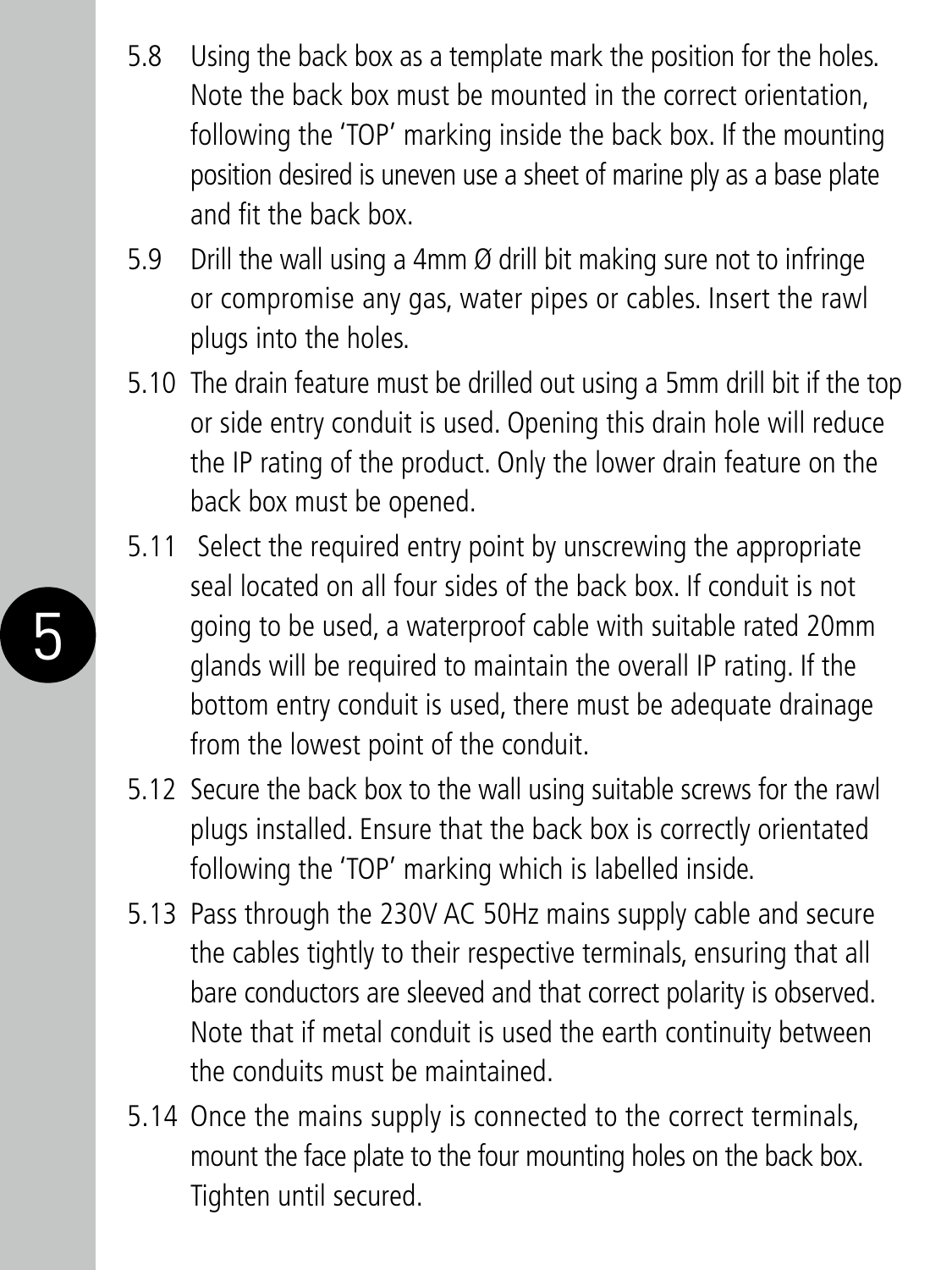- 5.8 Using the back box as a template mark the position for the holes. Note the back box must be mounted in the correct orientation, following the 'TOP' marking inside the back box. If the mounting position desired is uneven use a sheet of marine ply as a base plate and fit the back box.
- 5.9 Drill the wall using a 4mm Ø drill bit making sure not to infringe or compromise any gas, water pipes or cables. Insert the rawl plugs into the holes.
- 5.10 The drain feature must be drilled out using a 5mm drill bit if the top or side entry conduit is used. Opening this drain hole will reduce the IP rating of the product. Only the lower drain feature on the back box must be opened.
- 5.11 Select the required entry point by unscrewing the appropriate seal located on all four sides of the back box. If conduit is not going to be used, a waterproof cable with suitable rated 20mm glands will be required to maintain the overall IP rating. If the bottom entry conduit is used, there must be adequate drainage from the lowest point of the conduit.

5

- 5.12 Secure the back box to the wall using suitable screws for the rawl plugs installed. Ensure that the back box is correctly orientated following the 'TOP' marking which is labelled inside.
- 5.13 Pass through the 230V AC 50Hz mains supply cable and secure the cables tightly to their respective terminals, ensuring that all bare conductors are sleeved and that correct polarity is observed. Note that if metal conduit is used the earth continuity between the conduits must be maintained.
- 5.14 Once the mains supply is connected to the correct terminals, mount the face plate to the four mounting holes on the back box. Tighten until secured.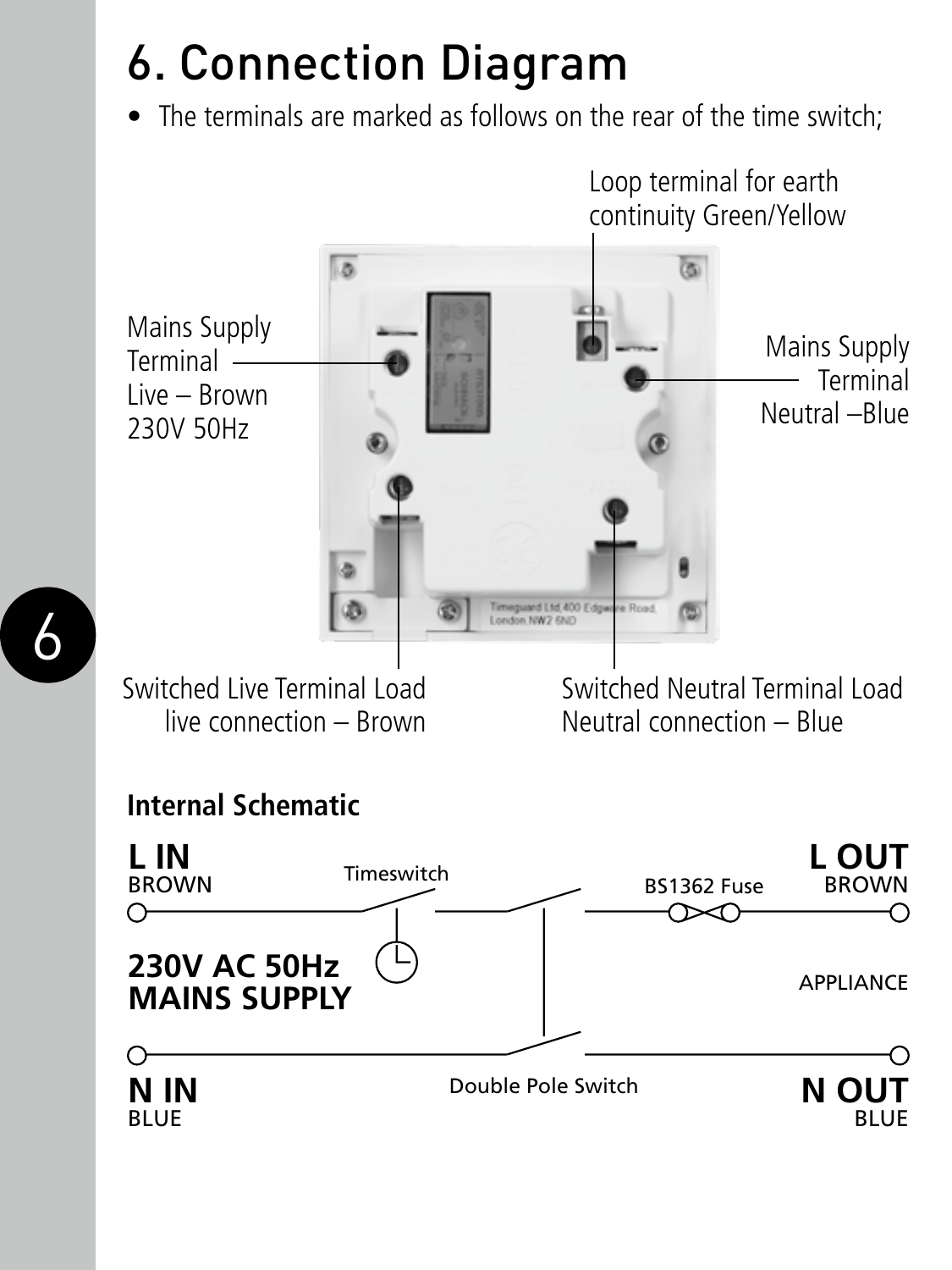## 6. Connection Diagram

• The terminals are marked as follows on the rear of the time switch;



live connection – Brown

6

Neutral connection – Blue

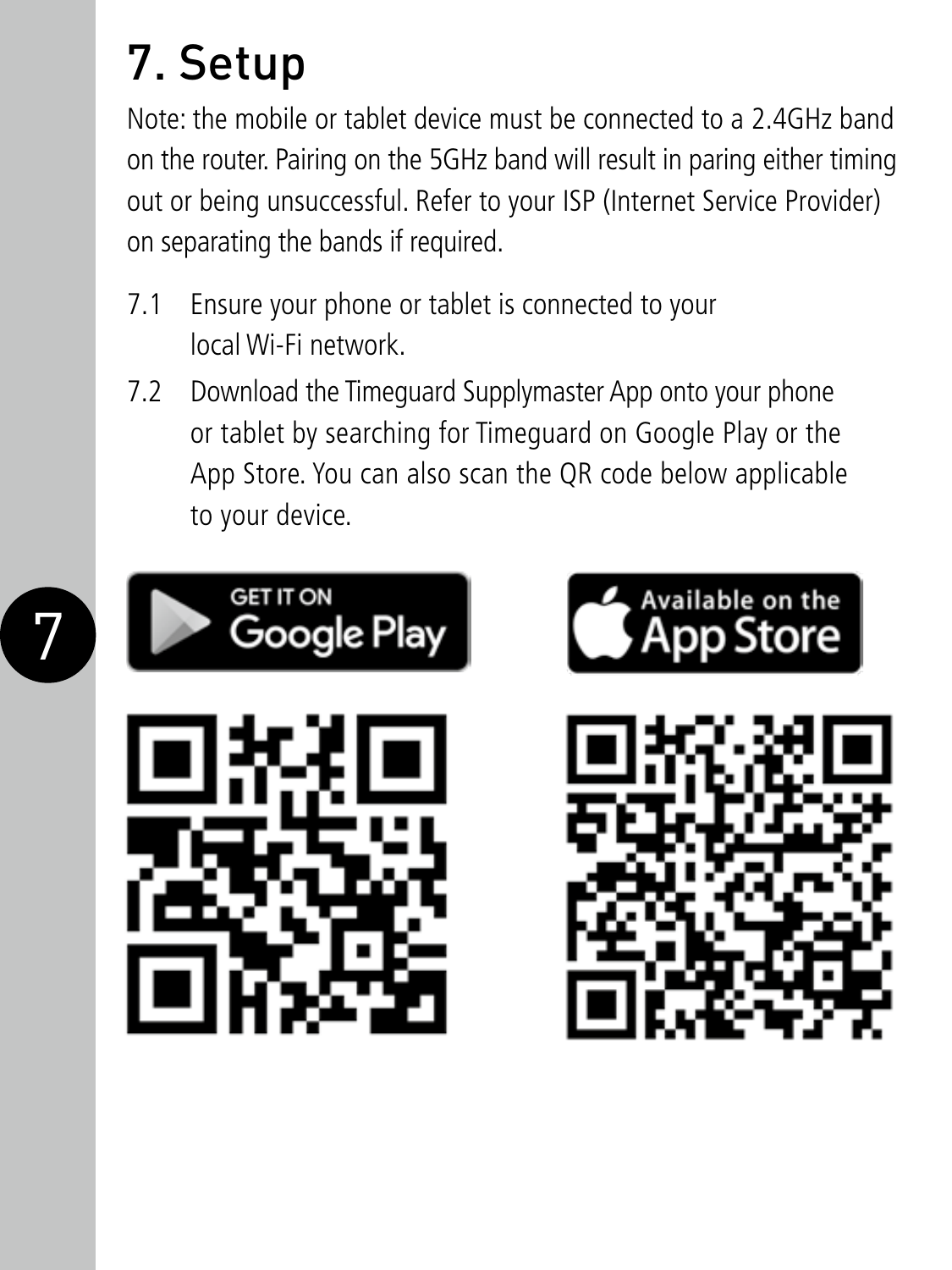## 7. Setup

Note: the mobile or tablet device must be connected to a 2.4GHz band on the router. Pairing on the 5GHz band will result in paring either timing out or being unsuccessful. Refer to your ISP (Internet Service Provider) on separating the bands if required.

- 7.1 Ensure your phone or tablet is connected to your local Wi-Fi network.
- 7.2 Download the Timeguard Supplymaster App onto your phone or tablet by searching for Timeguard on Google Play or the App Store. You can also scan the QR code below applicable to your device.

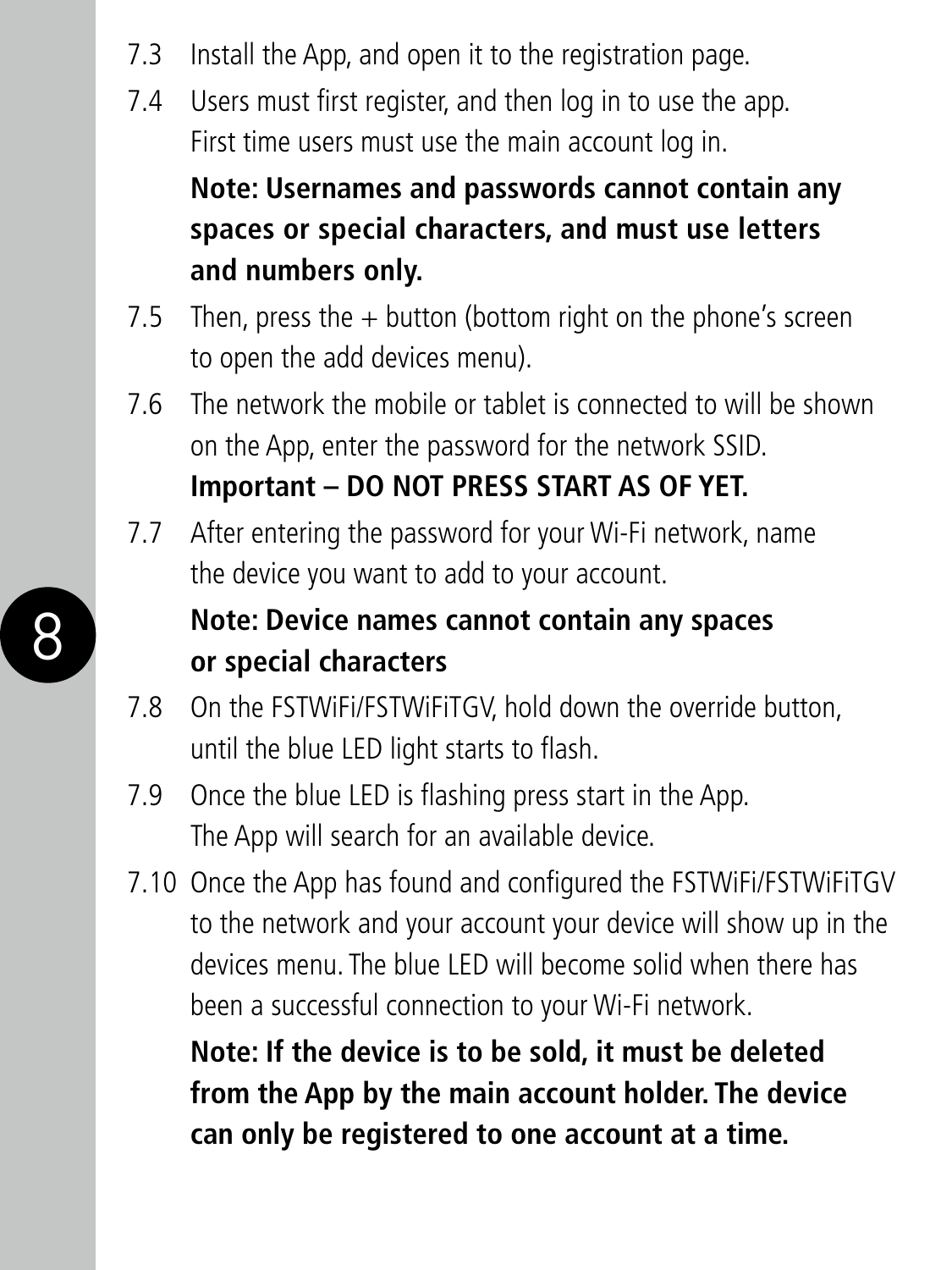- 7.3 Install the App, and open it to the registration page.
- 7.4 Users must first register, and then log in to use the app. First time users must use the main account log in.

 **Note: Usernames and passwords cannot contain any spaces or special characters, and must use letters and numbers only.**

- 7.5 Then, press the  $+$  button (bottom right on the phone's screen to open the add devices menu).
- 7.6 The network the mobile or tablet is connected to will be shown on the App, enter the password for the network SSID. **Important – DO NOT PRESS START AS OF YET.**
- 7.7 After entering the password for your Wi-Fi network, name the device you want to add to your account.

#### **Note: Device names cannot contain any spaces or special characters**

- 7.8 On the FSTWiFi/FSTWiFiTGV, hold down the override button, until the blue LED light starts to flash.
- 7.9 Once the blue LED is flashing press start in the App. The App will search for an available device.

8

7.10 Once the App has found and configured the FSTWiFi/FSTWiFiTGV to the network and your account your device will show up in the devices menu. The blue LED will become solid when there has been a successful connection to your Wi-Fi network.

 **Note: If the device is to be sold, it must be deleted from the App by the main account holder. The device can only be registered to one account at a time.**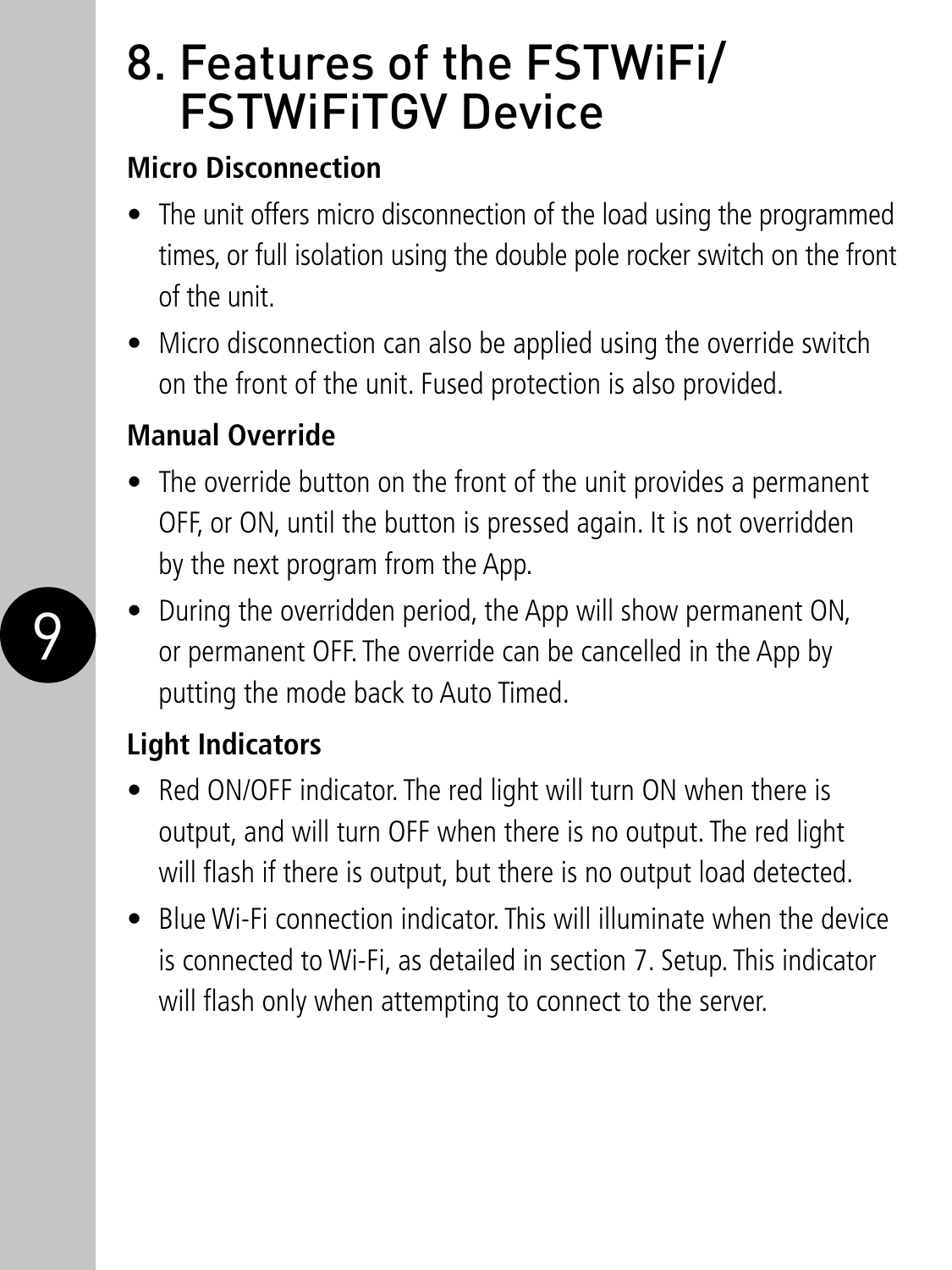### 8. Features of the FSTWiFi/ FSTWiFiTGV Device

#### **Micro Disconnection**

- The unit offers micro disconnection of the load using the programmed times, or full isolation using the double pole rocker switch on the front of the unit.
- Micro disconnection can also be applied using the override switch on the front of the unit. Fused protection is also provided.

#### **Manual Override**

- The override button on the front of the unit provides a permanent OFF, or ON, until the button is pressed again. It is not overridden by the next program from the App.
- During the overridden period, the App will show permanent ON, or permanent OFF. The override can be cancelled in the App by putting the mode back to Auto Timed.

#### **Light Indicators**

- Red ON/OFF indicator. The red light will turn ON when there is output, and will turn OFF when there is no output. The red light will flash if there is output, but there is no output load detected.
- Blue Wi-Fi connection indicator. This will illuminate when the device is connected to Wi-Fi, as detailed in section 7. Setup. This indicator will flash only when attempting to connect to the server.

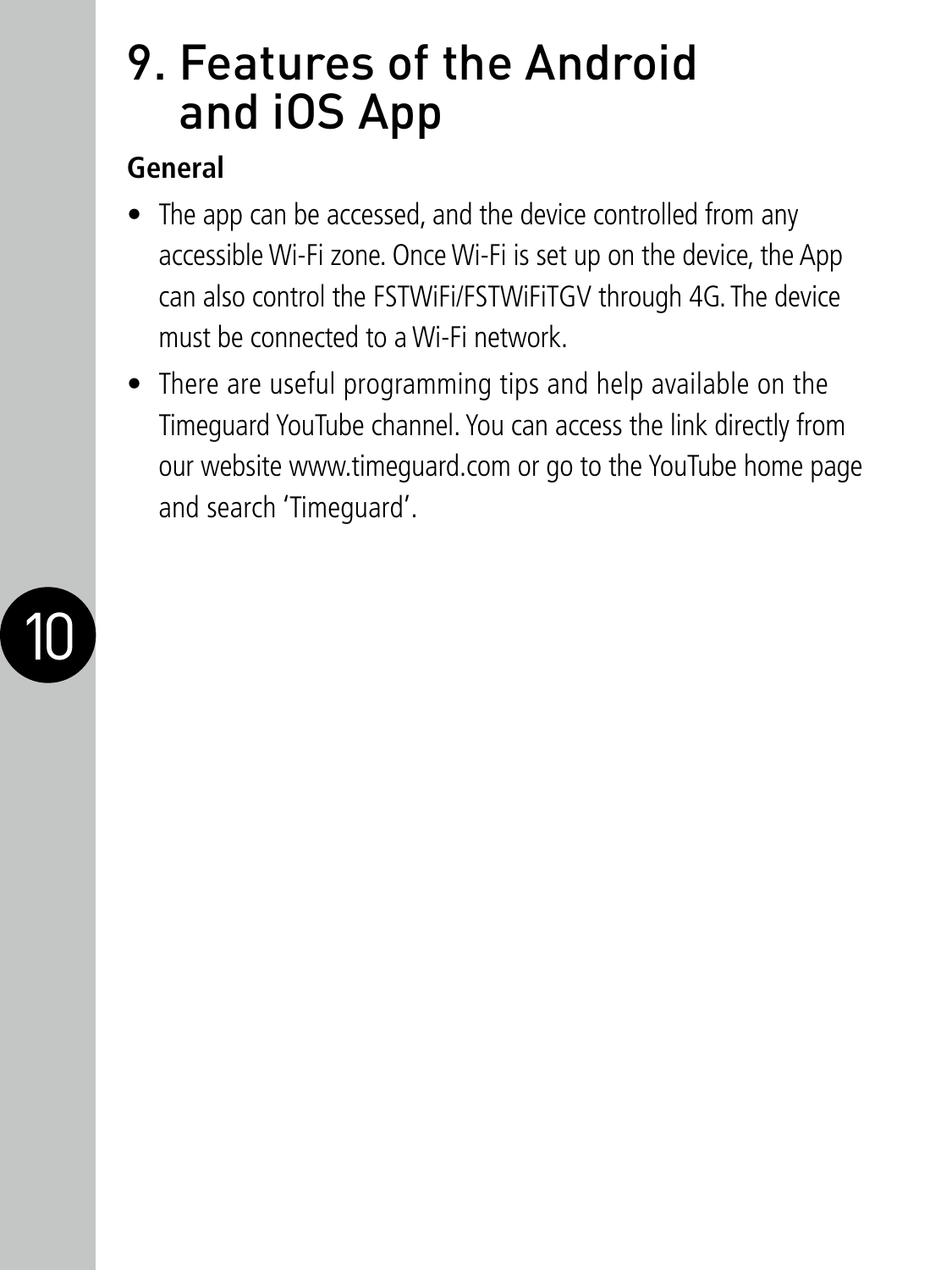### 9. Features of the Android and iOS App

#### **General**

- The app can be accessed, and the device controlled from any accessible Wi-Fi zone. Once Wi-Fi is set up on the device, the App can also control the FSTWiFi/FSTWiFiTGV through 4G. The device must be connected to a Wi-Fi network.
- There are useful programming tips and help available on the Timeguard YouTube channel. You can access the link directly from our website www.timeguard.com or go to the YouTube home page and search 'Timeguard'.

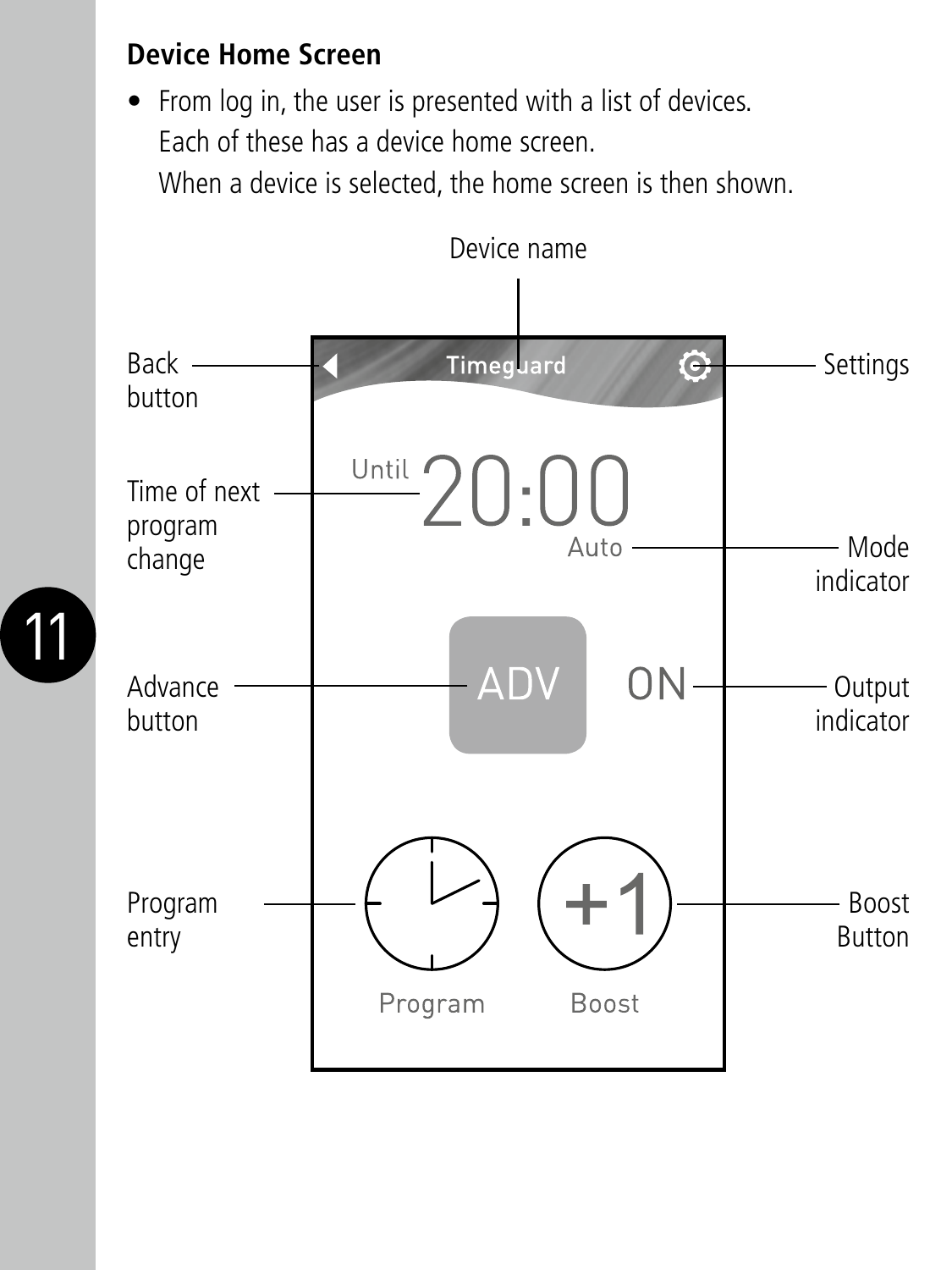#### **Device Home Screen**

• From log in, the user is presented with a list of devices. Each of these has a device home screen. When a device is selected, the home screen is then shown.



11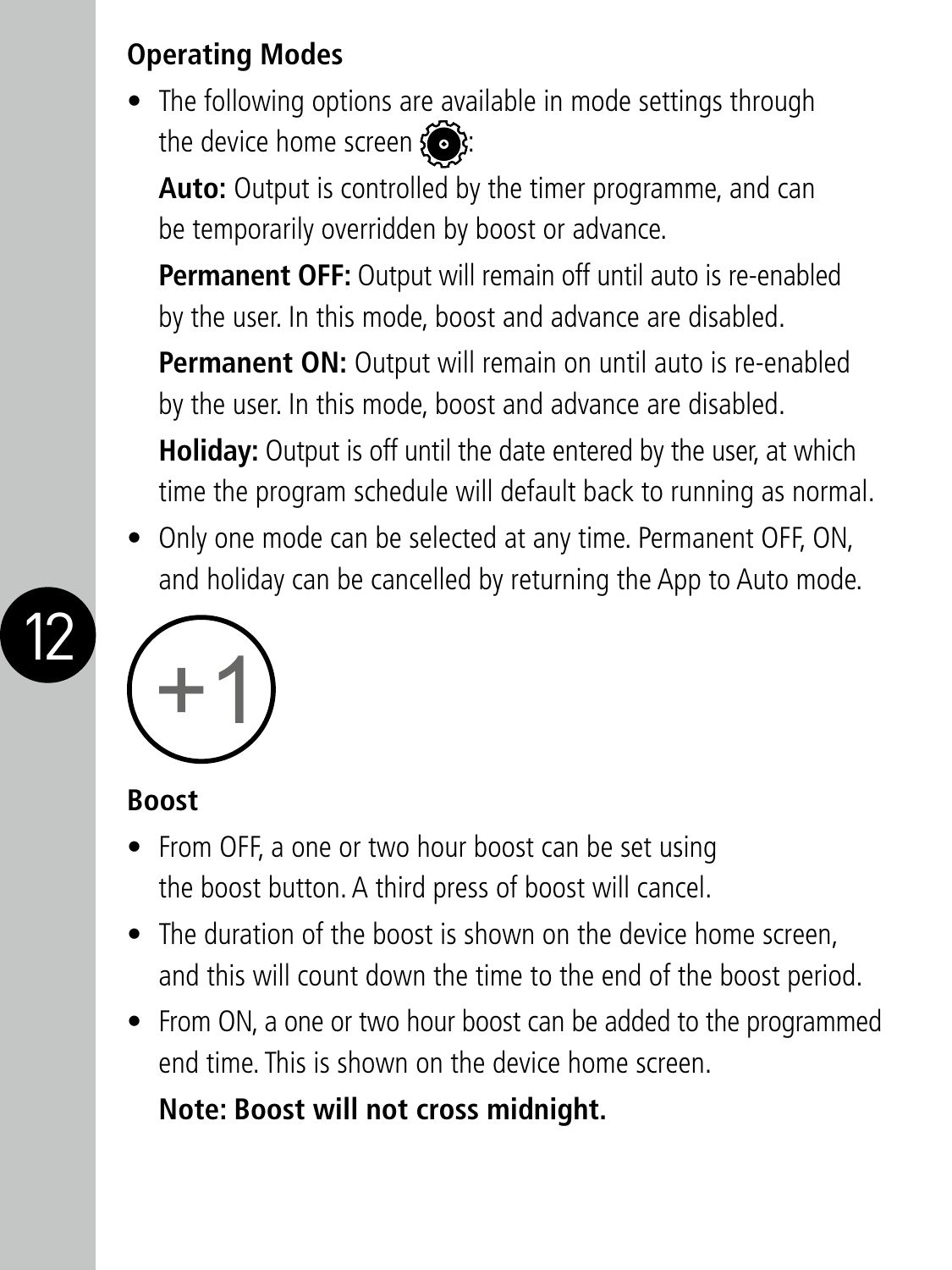#### **Operating Modes**

• The following options are available in mode settings through the device home screen  $\{ \bullet \}$ 

Auto: Output is controlled by the timer programme, and can be temporarily overridden by boost or advance.

**Permanent OFF:** Output will remain off until auto is re-enabled by the user. In this mode, boost and advance are disabled.

**Permanent ON:** Output will remain on until auto is re-enabled by the user. In this mode, boost and advance are disabled.

**Holiday:** Output is off until the date entered by the user, at which time the program schedule will default back to running as normal.

• Only one mode can be selected at any time. Permanent OFF, ON, and holiday can be cancelled by returning the App to Auto mode.



#### **Boost**

12

- From OFF, a one or two hour boost can be set using the boost button. A third press of boost will cancel.
- The duration of the boost is shown on the device home screen. and this will count down the time to the end of the boost period.
- From ON, a one or two hour boost can be added to the programmed end time. This is shown on the device home screen.

 **Note: Boost will not cross midnight.**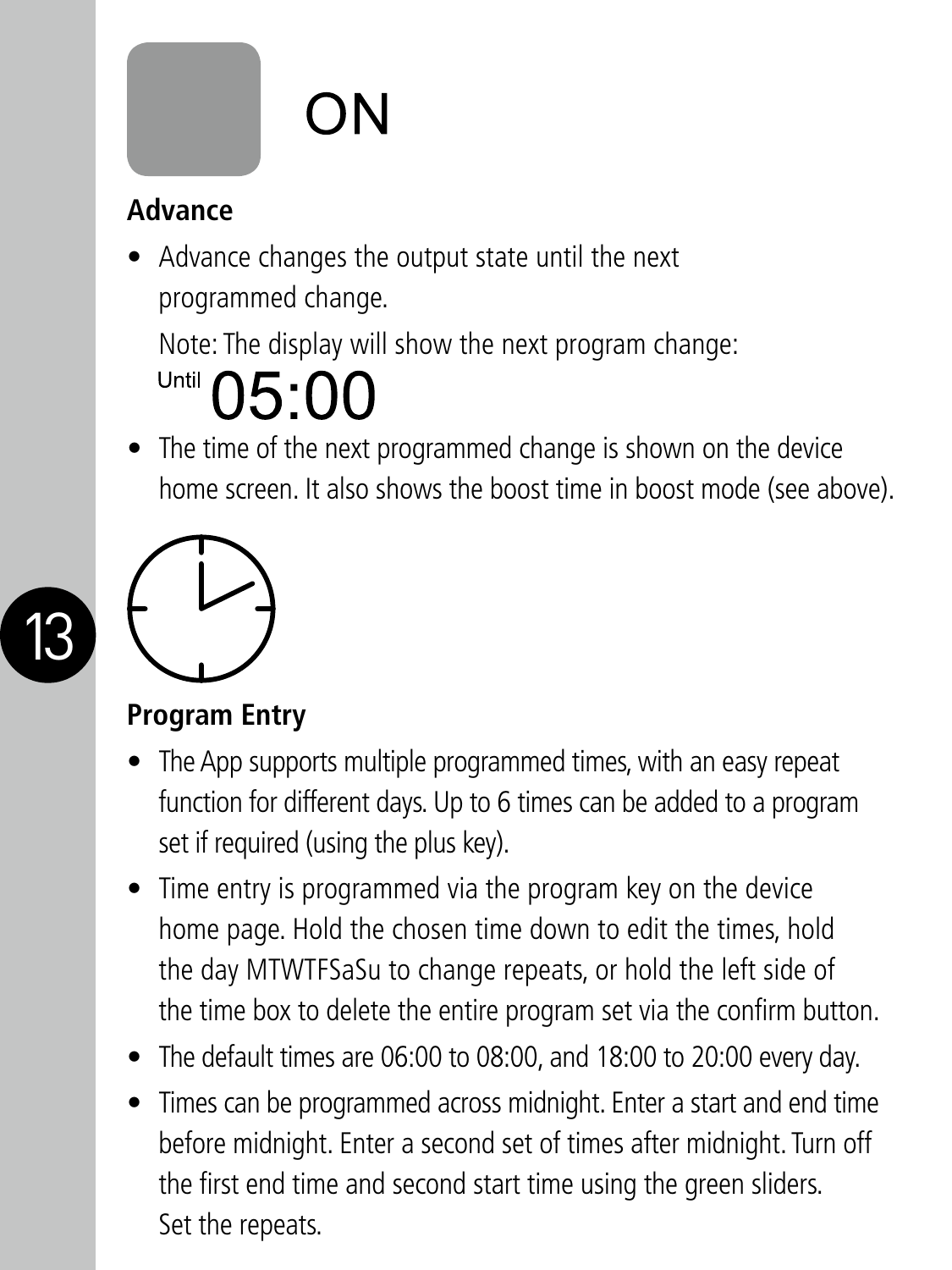# ON

#### **Advance**

• Advance changes the output state until the next programmed change.

Note: The display will show the next program change:

## Until  $05:00$

• The time of the next programmed change is shown on the device home screen. It also shows the boost time in boost mode (see above).



13

#### **Program Entry**

- The App supports multiple programmed times, with an easy repeat function for different days. Up to 6 times can be added to a program set if required (using the plus key).
- Time entry is programmed via the program key on the device home page. Hold the chosen time down to edit the times, hold the day MTWTFSaSu to change repeats, or hold the left side of the time box to delete the entire program set via the confirm button.
- The default times are 06:00 to 08:00, and 18:00 to 20:00 every day.
- Times can be programmed across midnight. Enter a start and end time before midnight. Enter a second set of times after midnight. Turn off the first end time and second start time using the green sliders. Set the repeats.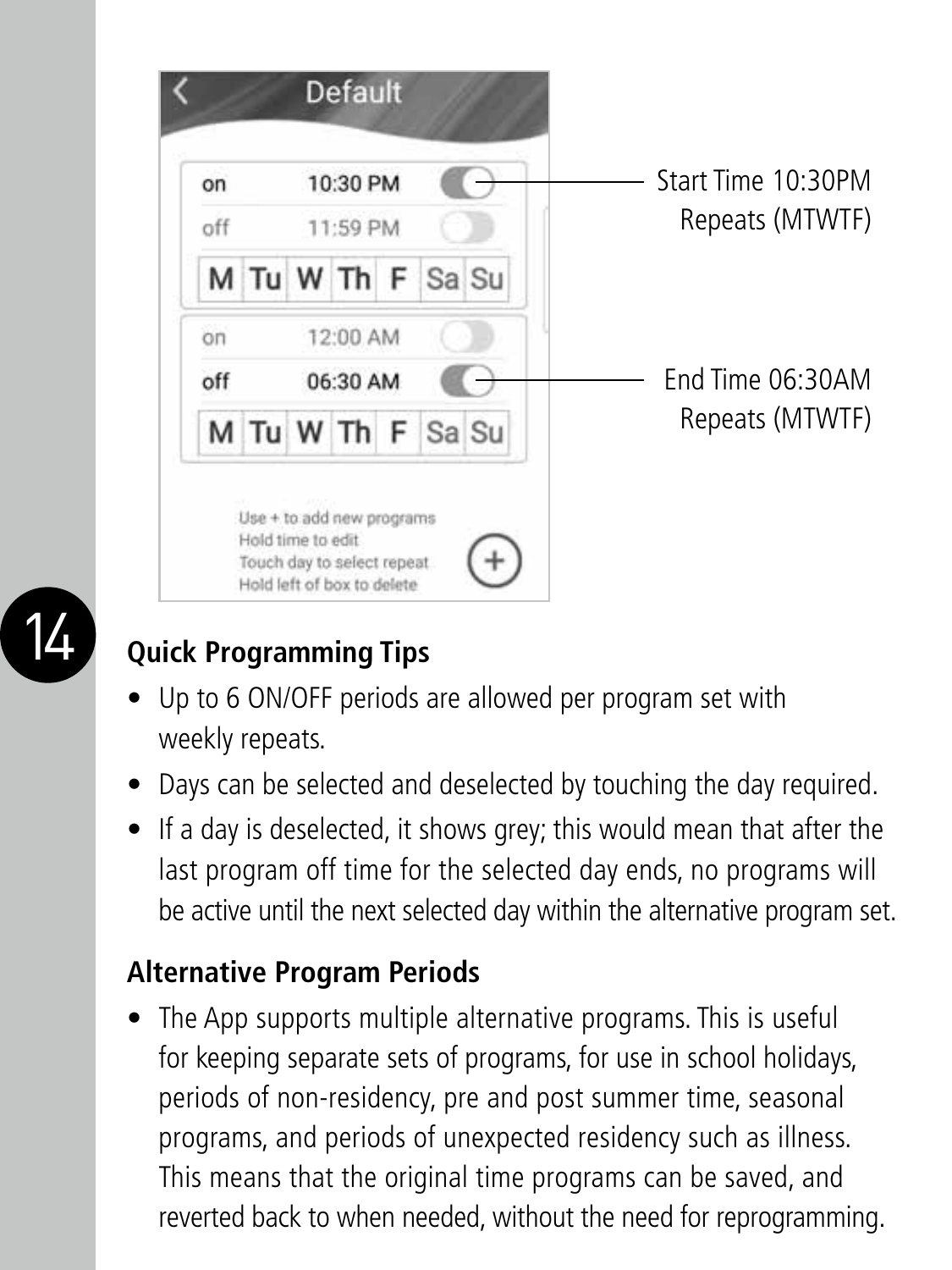



#### **Ouick Programming Tips**

- Up to 6 ON/OFF periods are allowed per program set with weekly repeats.
- Days can be selected and deselected by touching the day required.
- If a day is deselected, it shows grey; this would mean that after the last program off time for the selected day ends, no programs will be active until the next selected day within the alternative program set.

#### **Alternative Program Periods**

• The App supports multiple alternative programs. This is useful for keeping separate sets of programs, for use in school holidays, periods of non-residency, pre and post summer time, seasonal programs, and periods of unexpected residency such as illness. This means that the original time programs can be saved, and reverted back to when needed, without the need for reprogramming.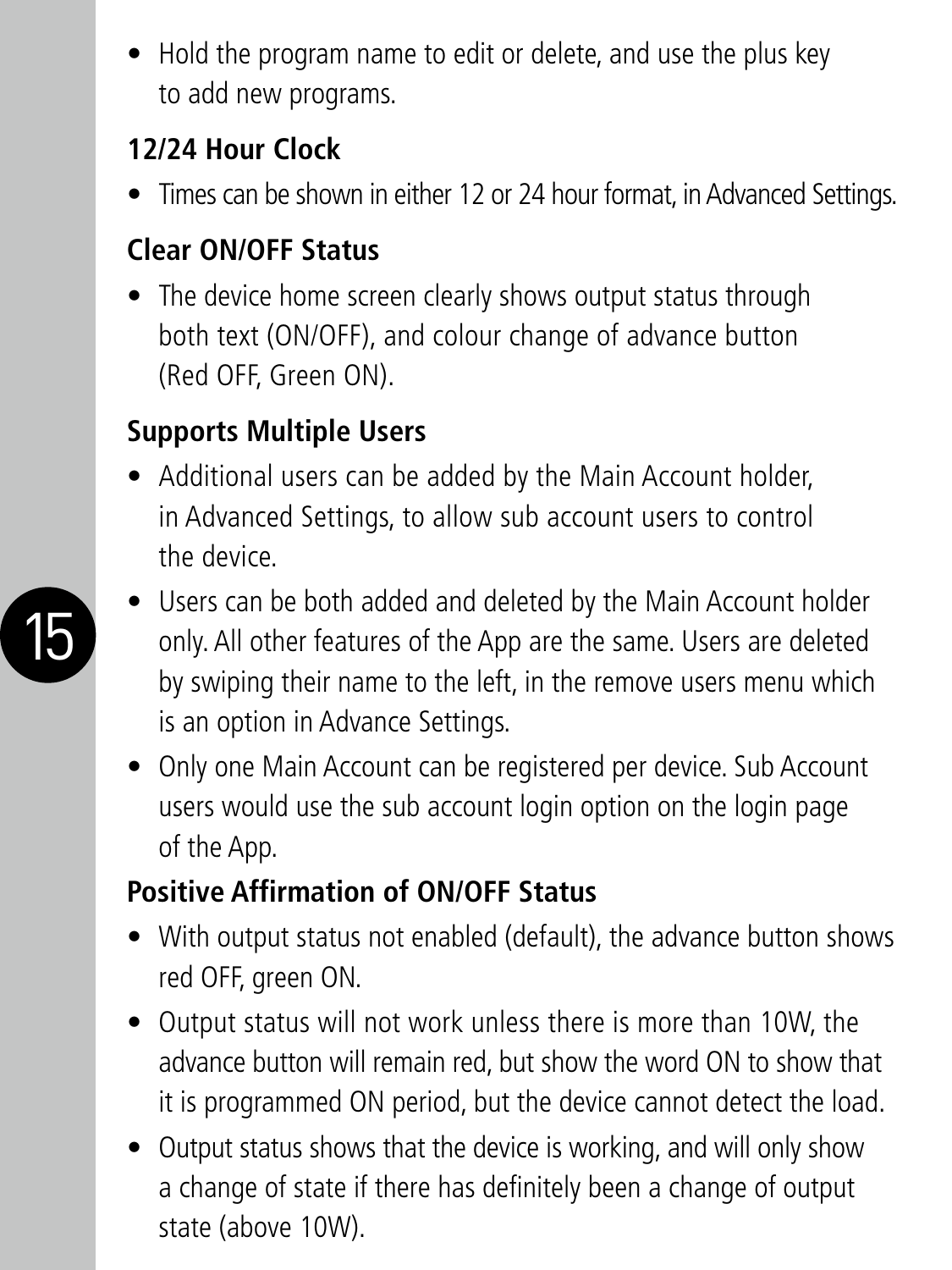• Hold the program name to edit or delete, and use the plus key to add new programs.

#### **12/24 Hour Clock**

• Times can be shown in either 12 or 24 hour format, in Advanced Settings.

#### **Clear ON/OFF Status**

• The device home screen clearly shows output status through both text (ON/OFF), and colour change of advance button (Red OFF, Green ON).

#### **Supports Multiple Users**

• Additional users can be added by the Main Account holder, in Advanced Settings, to allow sub account users to control the device.



- Users can be both added and deleted by the Main Account holder only. All other features of the App are the same. Users are deleted by swiping their name to the left, in the remove users menu which is an option in Advance Settings.
- Only one Main Account can be registered per device. Sub Account users would use the sub account login option on the login page of the App.

#### **Positive Affirmation of ON/OFF Status**

- With output status not enabled (default), the advance button shows red OFF, green ON.
- Output status will not work unless there is more than 10W, the advance button will remain red, but show the word ON to show that it is programmed ON period, but the device cannot detect the load.
- Output status shows that the device is working, and will only show a change of state if there has definitely been a change of output state (above 10W).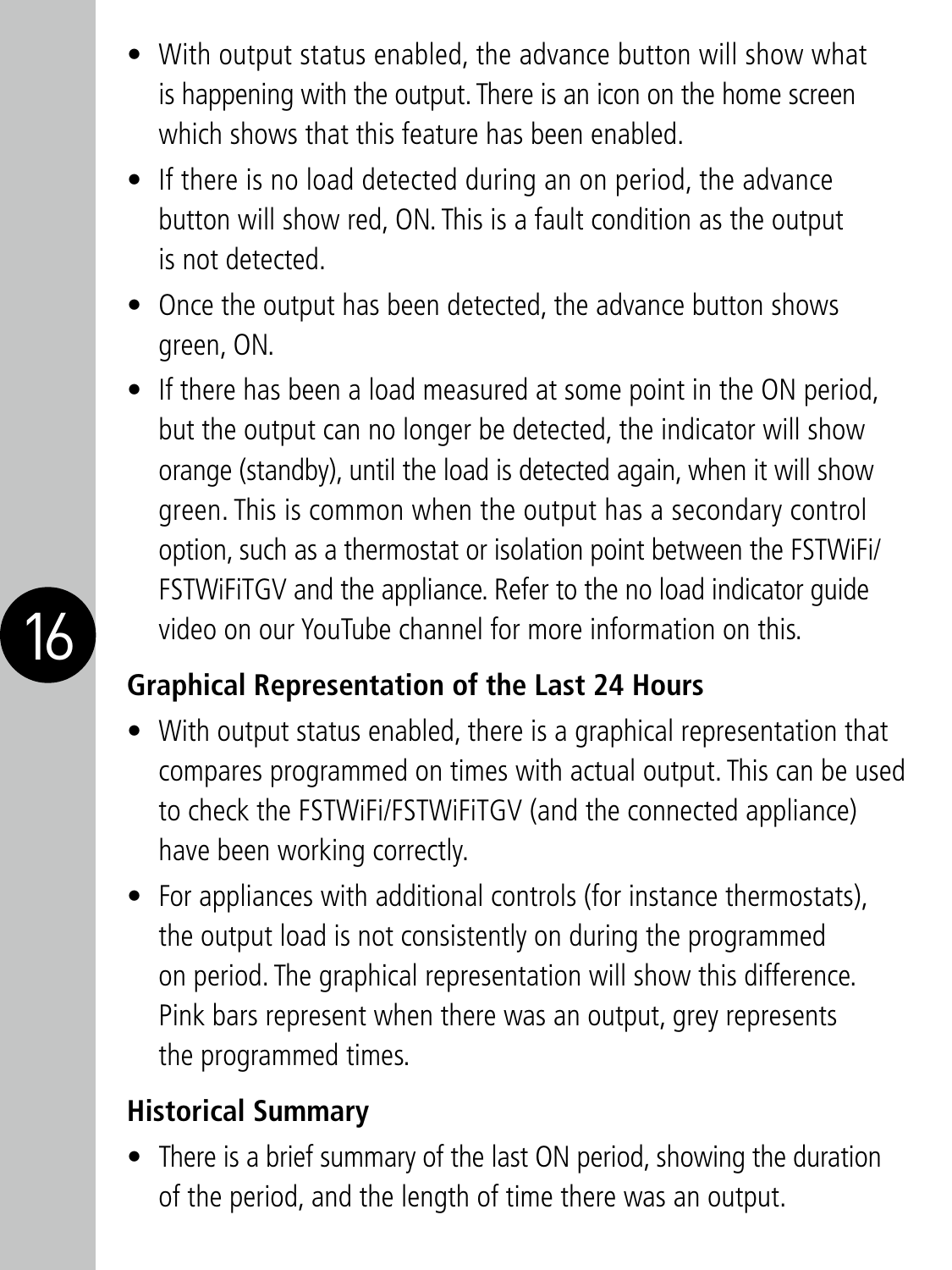- With output status enabled, the advance button will show what is happening with the output. There is an icon on the home screen which shows that this feature has been enabled.
- If there is no load detected during an on period, the advance button will show red, ON. This is a fault condition as the output is not detected.
- Once the output has been detected, the advance button shows green, ON.
- If there has been a load measured at some point in the ON period, but the output can no longer be detected, the indicator will show orange (standby), until the load is detected again, when it will show green. This is common when the output has a secondary control option, such as a thermostat or isolation point between the FSTWiFi/ FSTWiFiTGV and the appliance. Refer to the no load indicator guide video on our YouTube channel for more information on this.

#### **Graphical Representation of the Last 24 Hours**

- With output status enabled, there is a graphical representation that compares programmed on times with actual output. This can be used to check the FSTWiFi/FSTWiFiTGV (and the connected appliance) have been working correctly.
- For appliances with additional controls (for instance thermostats), the output load is not consistently on during the programmed on period. The graphical representation will show this difference. Pink bars represent when there was an output, grey represents the programmed times.

#### **Historical Summary**

• There is a brief summary of the last ON period, showing the duration of the period, and the length of time there was an output.

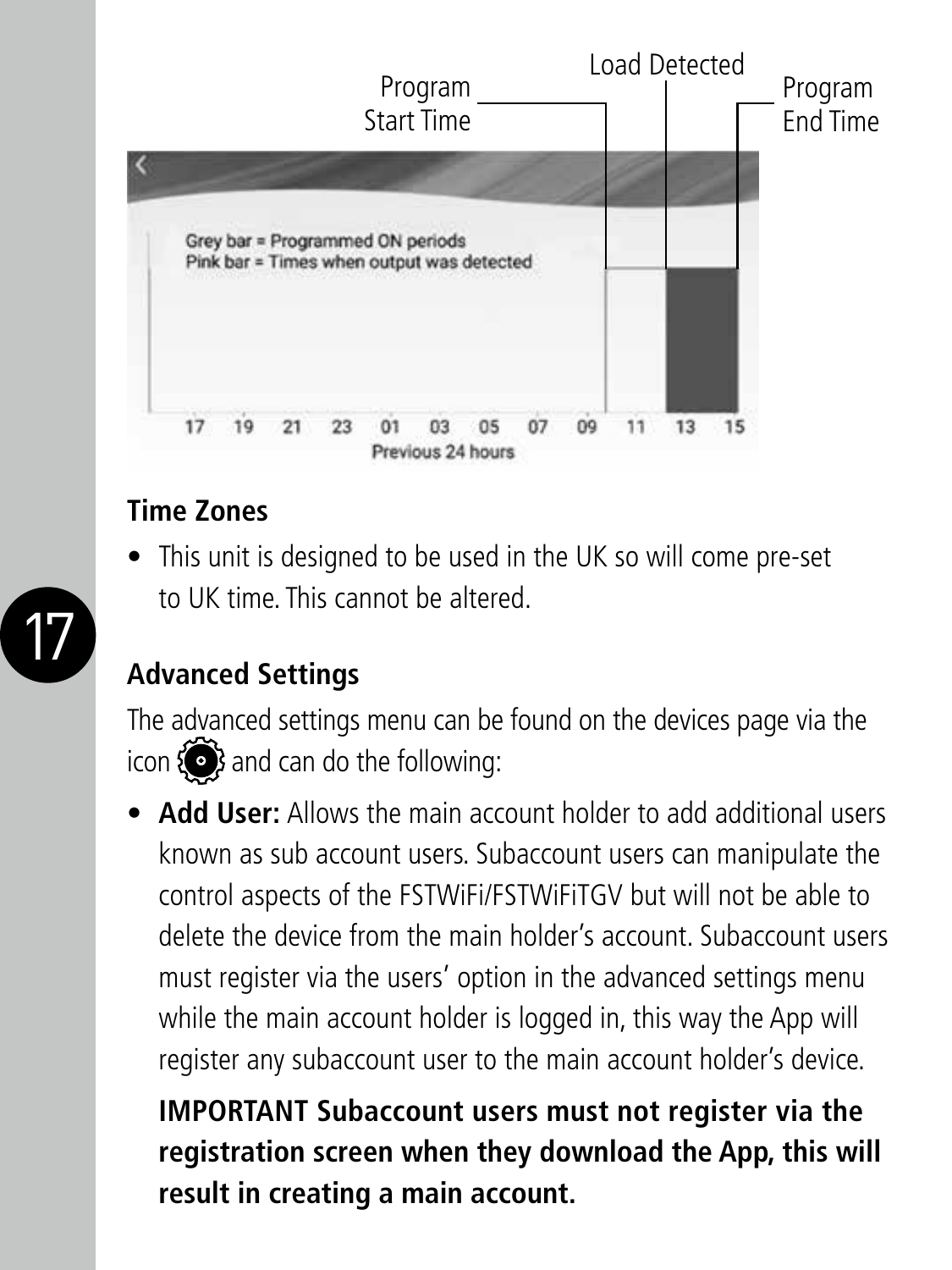

#### **Time Zones**

• This unit is designed to be used in the UK so will come pre-set to UK time. This cannot be altered.



#### **Advanced Settings**

The advanced settings menu can be found on the devices page via the icon  $\{ \bullet \}$  and can do the following:

• **Add User:** Allows the main account holder to add additional users known as sub account users. Subaccount users can manipulate the control aspects of the FSTWiFi/FSTWiFiTGV but will not be able to delete the device from the main holder's account. Subaccount users must register via the users' option in the advanced settings menu while the main account holder is logged in, this way the App will register any subaccount user to the main account holder's device.

 **IMPORTANT Subaccount users must not register via the registration screen when they download the App, this will result in creating a main account.**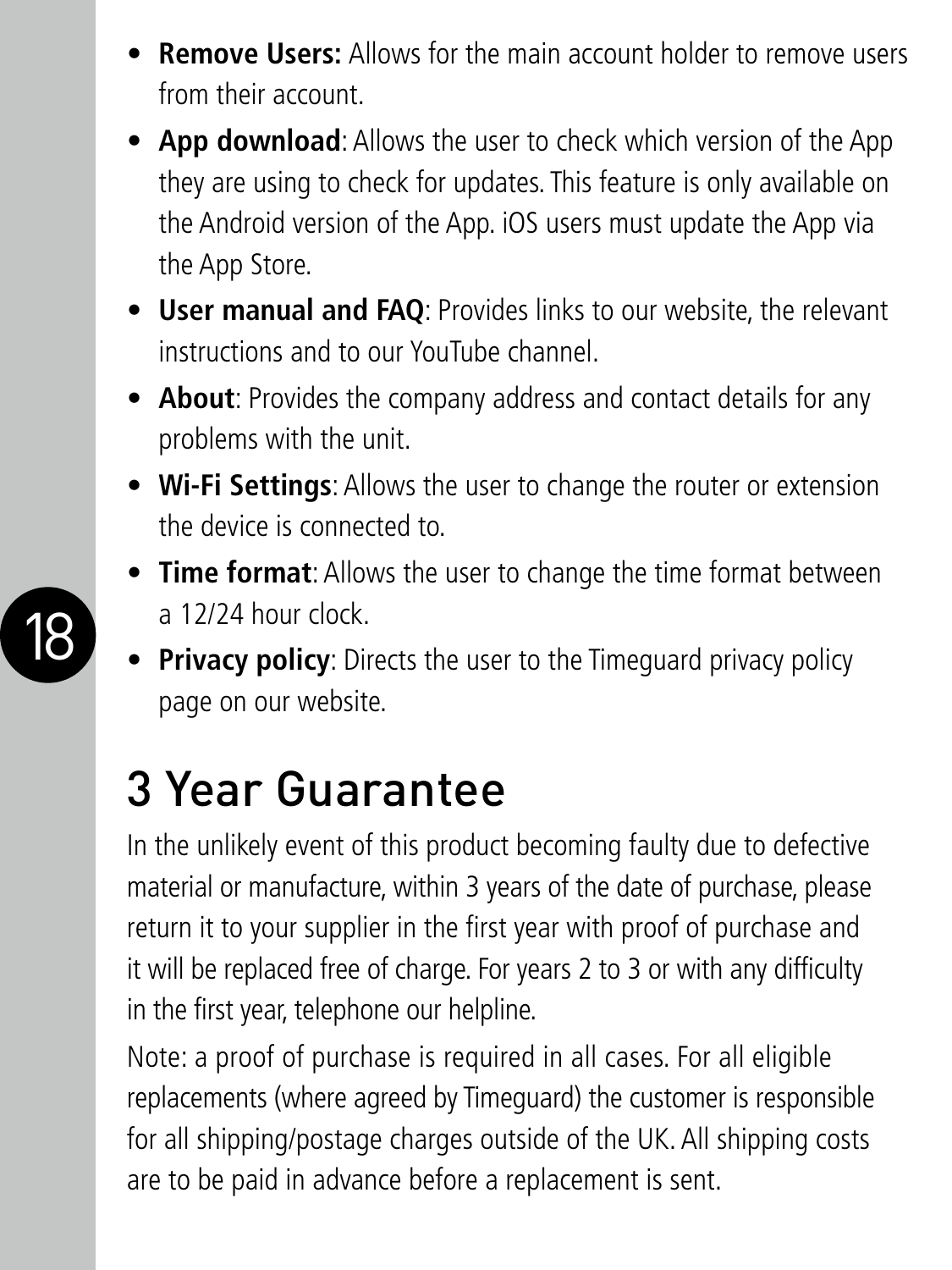- **Remove Users:** Allows for the main account holder to remove users from their account.
- **App download**: Allows the user to check which version of the App they are using to check for updates. This feature is only available on the Android version of the App. iOS users must update the App via the App Store.
- **User manual and FAQ**: Provides links to our website, the relevant instructions and to our YouTube channel.
- **About**: Provides the company address and contact details for any problems with the unit.
- **Wi-Fi Settings**: Allows the user to change the router or extension the device is connected to.
- **Time format**: Allows the user to change the time format between a 12/24 hour clock.
- **Privacy policy**: Directs the user to the Timeguard privacy policy page on our website.

### 3 Year Guarantee

In the unlikely event of this product becoming faulty due to defective material or manufacture, within 3 years of the date of purchase, please return it to your supplier in the first year with proof of purchase and it will be replaced free of charge. For years 2 to 3 or with any difficulty in the first year, telephone our helpline.

Note: a proof of purchase is required in all cases. For all eligible replacements (where agreed by Timeguard) the customer is responsible for all shipping/postage charges outside of the UK. All shipping costs are to be paid in advance before a replacement is sent.